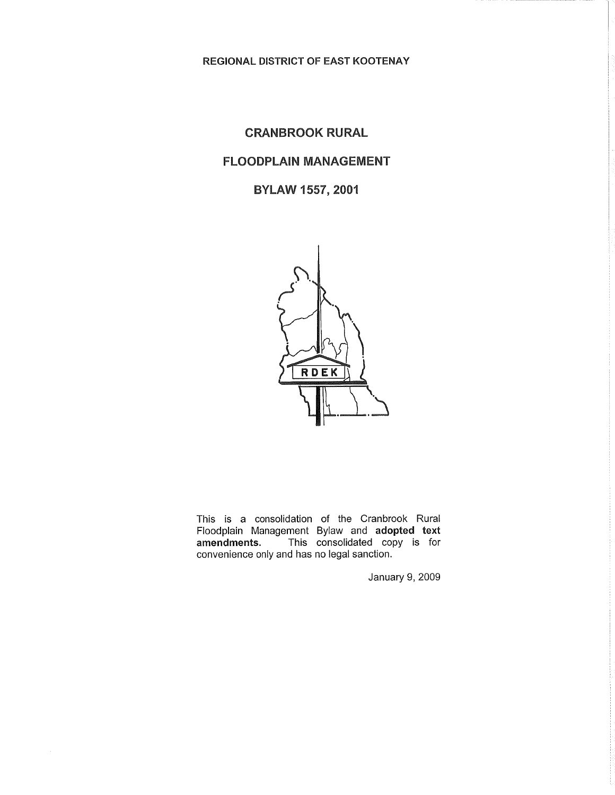**REGIONAL DISTRICT OF EAST KOOTENAY** 

# CRANBROOK RURAL

# FLOODPLAIN MANAGEMENT

BYLAW 1557, 2001



This is a consolidation of the Cranbrook Rural Floodplain Management Bylaw and adopted text amendments. This consolidated copy is for This consolidated copy is for convenience only and has no legal sanction.

January 9, 2009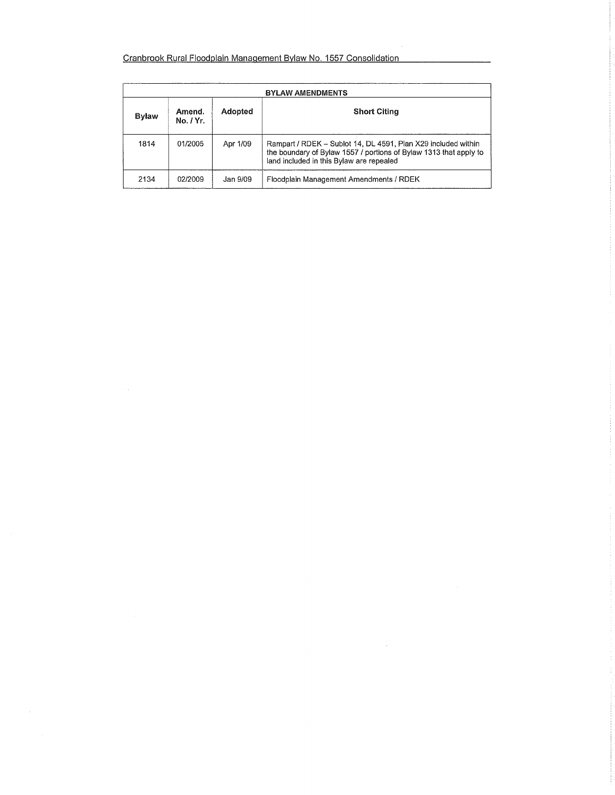# Cranbrook Rural Floodplain Management Bylaw No. 1557 Consolidation

 $\sim$ 

| <b>BYLAW AMENDMENTS</b> |                     |          |                                                                                                                                                                                |
|-------------------------|---------------------|----------|--------------------------------------------------------------------------------------------------------------------------------------------------------------------------------|
| Bylaw                   | Amend.<br>No. / Yr. | Adopted  | <b>Short Citing</b>                                                                                                                                                            |
| 1814                    | 01/2005             | Apr 1/09 | Rampart / RDEK - Sublot 14, DL 4591, Plan X29 included within<br>the boundary of Bylaw 1557 / portions of Bylaw 1313 that apply to<br>land included in this Bylaw are repealed |
| 2134                    | 02/2009             | Jan 9/09 | Floodplain Management Amendments / RDEK                                                                                                                                        |

 $\sim$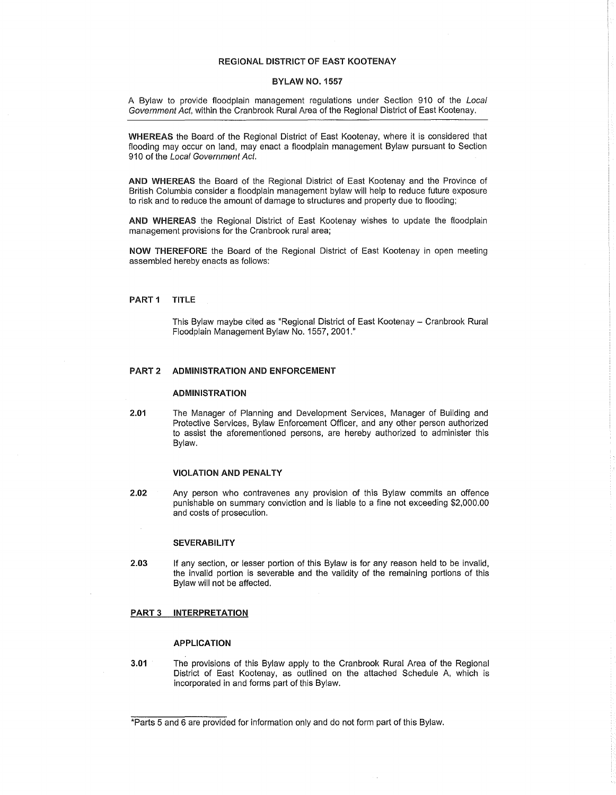#### REGIONAL DISTRICT OF EAST KOOTENA Y

#### BYLAW NO. 1557

A Bylaw to provide floodplain management regulations under Section 910 of the Local Government Act, within the Cranbrook Rural Area of the Regional District of East Kootenay.

WHEREAS the Board of the Regional District of East Kootenay, where it is considered that flooding may occur on land, may enact a floodplain management Bylaw pursuant to Section 910 of the Local Government Act.

AND WHEREAS the Board of the Regional District of East Kootenay and the Province of British Columbia consider a floodplain management bylaw will help to reduce future exposure to risk and to reduce the amount of damage to structures and property due to flooding;

AND WHEREAS the Regional District of East Kootenay wishes to update the floodplain management provisions for the Cranbrook rural area;

NOW THEREFORE the Board of the Regional District of East Kootenay in open meeting assembled hereby enacts as follows:

#### PART 1 TITLE

This Bylaw maybe cited as "Regional District of East Kootenay - Cranbrook Rural Floodplain Management Bylaw No. 1557, 2001."

### PART 2 ADMINISTRATION AND ENFORCEMENT

### ADMINISTRATION

2.01 The Manager of Planning and Development Services, Manager of Building and Protective Services, Bylaw Enforcement Officer, and any other person authorized to assist the aforementioned persons, are hereby authorized to administer this Bylaw.

#### **VIOLATION AND PENALTY**

2.02 Any person who contravenes any provision of this Bylaw commits an offence punishable on summary conviction and is liable to a fine not exceeding \$2,000.00 and costs of prosecution.

#### **SEVERABILITY**

2.03 If any section, or lesser portion of this Bylaw is for any reason held to be invalid, the invalid portion is severable and the validity of the remaining portions of this Bylaw will not be affected.

## PART 3 INTERPRETATION

#### APPLICATION

3.01 The provisions of this Bylaw apply to the Cranbrook Rural Area of the Regional District of East Kootenay, as outlined on the attached Schedule A, which is incorporated in and forms part of this Bylaw.

<sup>\*</sup>Parts 5 and 6 are provided for information only and do not form part of this Bylaw.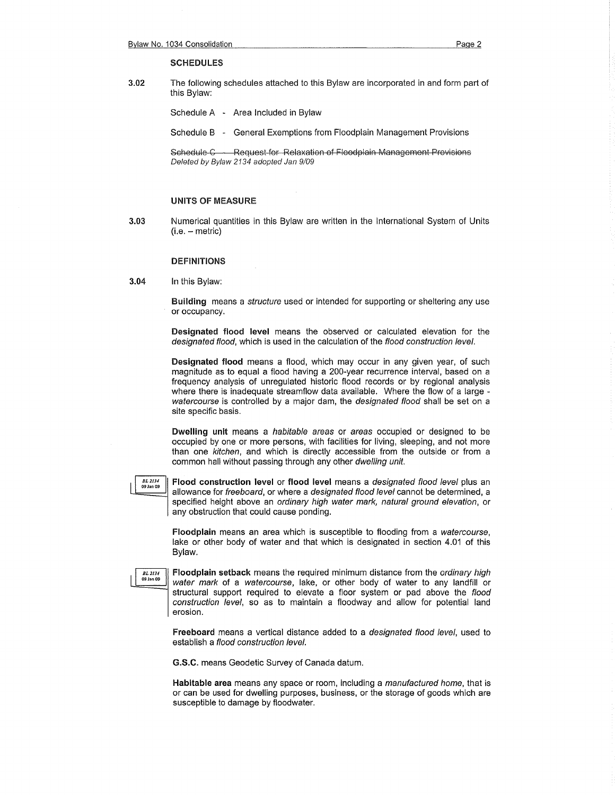#### **SCHEDULES**

3.02 The following schedules attached to this Bylaw are incorporated in and form part of this Bylaw:

Schedule A - Area Included in Bylaw

Schedule B - General Exemptions from Floodplain Management Provisions

Schedule C Request for Relaxation of Floodplain Management Provisions Deleted by Bylaw 2134 adopted Jan 9/09

#### UNITS OF MEASURE

3.03 Numerical quantities in this Bylaw are written in the International System of Units  $(i.e. - metric)$ 

#### **DEFINITIONS**

3.04 In this Bylaw:

Building means a *structure* used or intended for supporting or sheltering any use or occupancy.

Designated flood level means the observed or calculated elevation for the designated flood, which is used in the calculation of the flood construction level.

Designated flood means a flood, which may occur in any given year, of such magnitude as to equal a flood having a 200-year recurrence interval, based on a frequency analysis of unregulated historic flood records or by regional analysis where there is inadequate streamflow data available. Where the flow of a large watercourse is controlled by a major dam, the *designated flood* shall be set on a site specific basis.

Dwelling unit means a habitable areas or areas occupied or designed to be occupied by one or more persons, with facilities for living, sleeping, and not more than one kitchen, and which is directly accessible from the outside or from a common hall without passing through any other dwelling unit.

*BL2134* 

Flood construction level or flood level means a designated flood level plus an allowance for freeboard, or where a designated flood level cannot be determined, a specified height above an ordinary high water mark, natural ground elevation, or any obstruction that could cause ponding.

Floodplain means an area which is susceptible to flooding from a watercourse, lake or other body of water and that which is designated in section 4.01 of this Bylaw.



Floodplain setback means the required minimum distance from the ordinary high water mark of a watercourse, lake, or other body of water to any landfill or structural support required to elevate a floor system or pad above the flood construction level, so as to maintain a floodway and allow for potential land erosion.

Freeboard means a vertical distance added to a *designated flood level*, used to establish a flood construction level.

G.S.C. means Geodetic Survey of Canada datum.

Habitable area means any space or room, including a manufactured home, that is or can be used for dwelling purposes, business, or the storage of goods which are susceptible to damage by floodwater.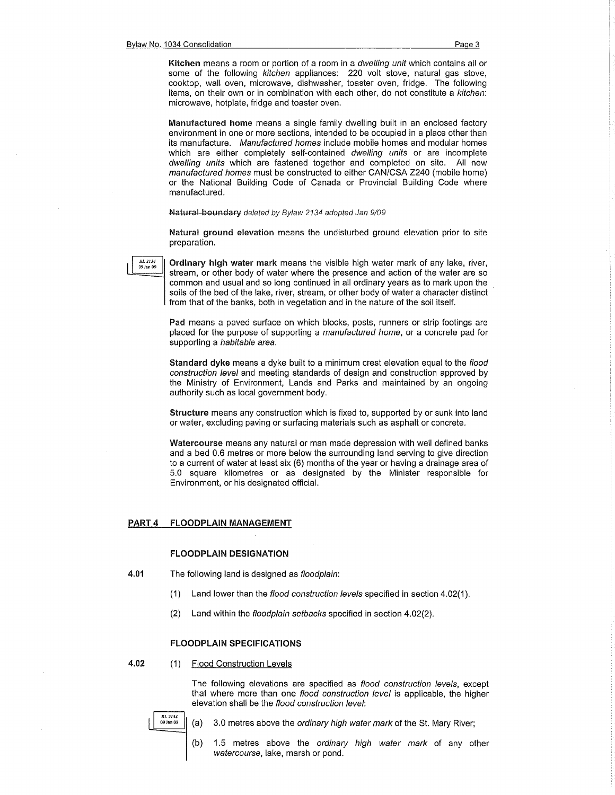Kitchen means a room or portion of a room in a *dwelling unit* which contains all or some of the following kitchen appliances: 220 volt stove, natural gas stove, cooktop, wall oven, microwave, dishwasher, toaster oven, fridge. The following items, on their own or in combination with each other, do not constitute a kitchen: microwave, hotplate, fridge and toaster oven.

Manufactured home means a single family dwelling built in an enclosed factory environment in one or more sections, intended to be occupied in a place other than its manufacture. Manufactured homes include mobile homes and modular homes which are either completely self-contained dwelling units or are incomplete dwelling units which are fastened together and completed on site. All new manufactured homes must be constructed to either CAN/CSA Z240 (mobile home) or the National Building Code of Canada or Provincial Building Code where manufactured.

#### Natural boundary deleted by Bylaw 2134 adopted Jan 9/09

Natural ground elevation means the undisturbed ground elevation prior to site preparation.

*BL 2134*<br>09 Jan 09

Ordinary high water mark means the visible high water mark of any lake, river, stream, or other body of water where the presence and action of the water are so common and usual and so long continued in all ordinary years as to mark upon the soils of the bed of the lake, river, stream, or other body of water a character distinct from that of the banks, both in vegetation and in the nature of the soil itself.

Pad means a paved surface on which blocks, posts, runners or strip footings are placed for the purpose of supporting a manufactured home, or a concrete pad for supporting a *habitable area*.

Standard dyke means a dyke built to a minimum crest elevation equal to the flood construction level and meeting standards of design and construction approved by the Ministry of Environment, Lands and Parks and maintained by an ongoing authority such as local government body.

Structure means any construction which is fixed to, supported by or sunk into land or water, excluding paving or surfacing materials such as asphalt or concrete.

Watercourse means any natural or man made depression with well defined banks and a bed 0.6 metres or more below the surrounding land serving to give direction to a current of water at least six (6) months of the year or having a drainage area of 5.0 square kilometres or as designated by the Minister responsible for Environment, or his designated official.

#### PART 4 FLOODPLAIN MANAGEMENT

#### FLOODPLAIN DESIGNATION

- 4.01 The following land is designed as floodplain:
	- (1) Land lower than the flood construction levels specified in section  $4.02(1)$ .
	- (2) Land within the floodplain setbacks specified in section 4.02(2).

#### FLOODPLAIN SPECIFICATIONS

4.02 (1) Flood Construction Levels

The following elevations are specified as flood construction levels, except that where more than one flood construction level is applicable, the higher elevation shall be the flood construction level:

- 
- *BL<sub>2134</sub>* (a) 3.0 metres above the ordinary high water mark of the St. Mary River;
	- (b} 1.5 metres above the ordinary high water mark of any other watercourse, lake, marsh or pond.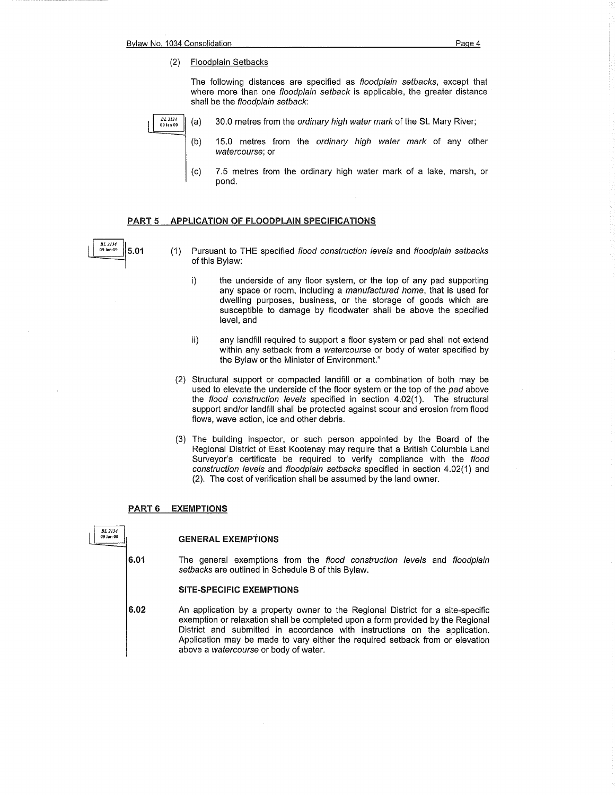The following distances are specified as floodplain setbacks, except that where more than one *floodplain setback* is applicable, the greater distance shall be the floodplain setback:



- (a) 30.0 metres from the ordinary high water mark of the St. Mary River;
- (b) 15.0 metres from the ordinary high water mark of any other watercourse; or
- (c) 7.5 metres from the ordinary high water mark of a lake, marsh, or pond.

#### PART 5 APPLICATION OF FLOODPLAIN SPECIFICATIONS

*Bl 2134* 

- **5.01** (1) Pursuant to THE specified flood construction levels and floodplain setbacks of this Bylaw:
	- i) the underside of any floor system, or the top of any pad supporting any space or room, including a manufactured home, that is used for dwelling purposes, business, or the storage of goods which are susceptible to damage by floodwater shall be above the specified level, and
	- ii) any landfill required to support a floor system or pad shall not extend within any setback from a watercourse or body of water specified by the Bylaw or the Minister of Environment."
	- (2) Structural support or compacted landfill or a combination of both may be used to elevate the underside of the floor system or the top of the pad above the flood construction levels specified in section 4.02(1). The structural support and/or landfill shall be protected against scour and erosion from flood flows, wave action, ice and other debris.
	- (3) The building inspector, or such person appointed by the Board of the Regional District of East Kootenay may require that a British Columbia Land Surveyor's certificate be required to verify compliance with the flood construction levels and floodplain setbacks specified in section 4.02(1) and (2). The cost of verification shall be assumed by the land owner.

#### PART 6 EXEMPTIONS



6.01

#### GENERAL EXEMPTIONS

The general exemptions from the flood construction levels and floodplain setbacks are outlined in Schedule B of this Bylaw.

#### SITE-SPECIFIC EXEMPTIONS

6.02 An application by a property owner to the Regional District for a site-specific exemption or relaxation shall be completed upon a form provided by the Regional District and submitted in accordance with instructions on the application. Application may be made to vary either the required setback from or elevation above a watercourse or body of water.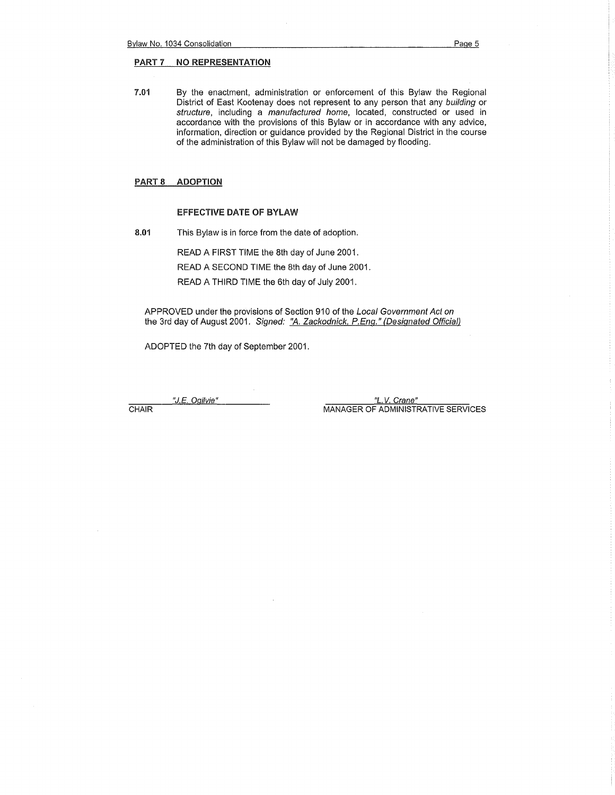## PART 7 NO REPRESENTATION

7.01 By the enactment, administration or enforcement of this Bylaw the Regional District of East Kootenay does not represent to any person that any building or structure, including a manufactured home, located, constructed or used in accordance with the provisions of this Bylaw or in accordance with any advice, information, direction or guidance provided by the Regional District in the course of the administration of this Bylaw will not be damaged by flooding.

# PART 8 ADOPTION

#### EFFECTIVE DATE OF BYLAW

8.01 This Bylaw is in force from the date of adoption.

READ A FIRST TIME the 8th day of June 2001.

READ A SECOND TIME the 8th day of June 2001.

READ A THIRD TIME the 6th day of July 2001.

APPROVED under the provisions of Section 910 of the Local Government Act on the 3rd day of August 2001. Signed: "A. Zackodnick, P.Eng." (Designated Official)

ADOPTED the 7th day of September 2001.

"J.E. Ogilvie" *"L.* V. Crane" CHAIR **MANAGER OF ADMINISTRATIVE SERVICES**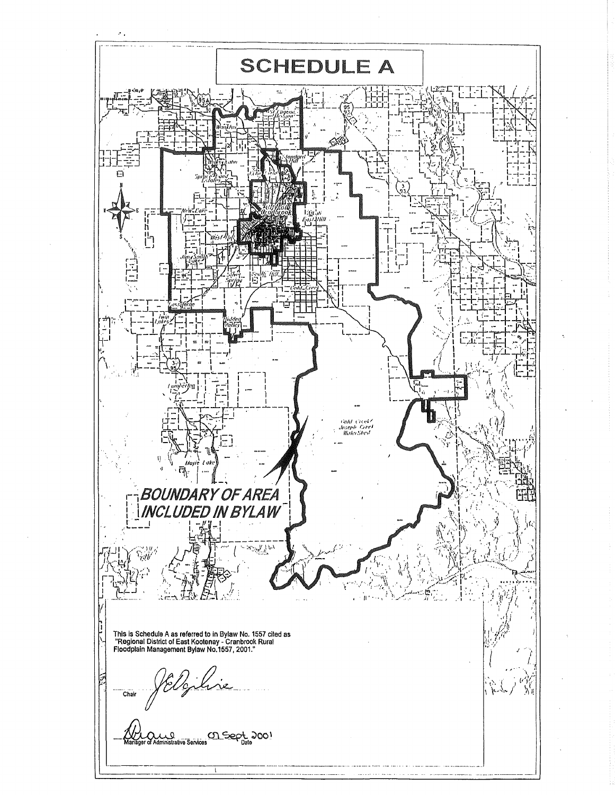,------------------------------------------------- **SCHEDULE A** ⊝  $\Box$ N **PARTIES**  $\mathfrak{g}$ ina h **b!**   $\lambda$  $\mathbf{s}^{\prime}$  $\mathbb{Z}^{\perp}$ r *\_\_i\·*   $\Xi$  , .. ; ' ' •' t \. **1:01c1 (·1r:dl**  . *,/11."it.'J•/1 f.'1N•J*  **ll'i11t•1.'ilwd**   $\theta$  $\hat{a}$  $\vec{P}_\text{th}$ **BOUNDARY OF AREA** ezin d<br>Uli  $\sim 2\sqrt{\frac{1}{\lambda}}\int_{\mathbb{R}^2} \rho_A$ ∴.  $\mathbf{H}$ This is Schedule A as referred to in Bylaw No. 1557 cited as "Regional District of East Kootenay - Cranbrook Rural Floodplain Managamant Bylaw No.1557, 2001." ;' I ---- - -~A \_\_ :\_!!\_:----- Chair 7.....--~  $\overline{v}$ 'Y γ. <u>Manager of Administrative Services</u> <u>On Sept.</u> 200! -------·--------- ~--------------\ -------·-----------·- ------------ ---·-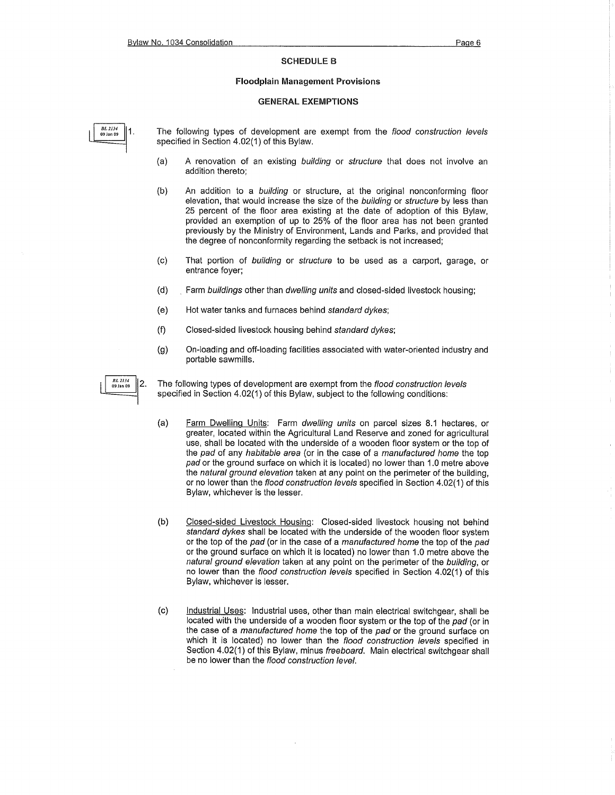#### SCHEDULE B

#### Floodplain Management Provisions

#### GENERAL EXEMPTIONS

**BL 2134** 1 09 Jan 09

**BL 2134** 

09 Jan 09

2.

The following types of development are exempt from the flood construction levels specified in Section 4.02(1) of this Bylaw.

- (a) A renovation of an existing building or structure that does not involve an addition thereto;
- (b) An addition to a building or structure, at the original nonconforming floor elevation, that would increase the size of the building or structure by less than 25 percent of the floor area existing at the date of adoption of this Bylaw, provided an exemption of up to 25% of the floor area has not been granted previously by the Ministry of Environment, Lands and Parks, and provided that the degree of nonconformity regarding the setback is not increased;
- (c) That portion of building or structure to be used as a carport, garage, or entrance foyer;
- (d) Farm buildings other than dwelling units and closed-sided livestock housing;
- (e) Hot water tanks and furnaces behind standard dykes;
- (f) Closed-sided livestock housing behind standard dykes;
- (g) On-loading and off-loading facilities associated with water-oriented industry and portable sawmills.
- The following types of development are exempt from the flood construction levels specified in Section 4.02(1) of this Bylaw, subject to the following conditions:
- (a) Farm Dwelling Units: Farm dwelling units on parcel sizes 8.1 hectares, or greater, located within the Agricultural Land Reserve and zoned for agricultural use, shall be located with the underside of a wooden floor system or the top of the pad of any habitable area (or in the case of a manufactured home the top pad or the ground surface on which it is located) no lower than 1.0 metre above the natural ground elevation taken at any point on the perimeter of the building, or no lower than the flood construction levels specified in Section 4.02(1) of this Bylaw, whichever is the lesser.
- (b) Closed-sided Livestock Housing: Closed-sided livestock housing not behind standard dykes shall be located with the underside of the wooden floor system or the top of the pad (or in the case of a manufactured home the top of the pad or the ground surface on which it is located) no lower than 1.0 metre above the natural ground elevation taken at any point on the perimeter of the building, or no lower than the flood construction levels specified in Section 4.02(1) of this Bylaw, whichever is lesser.
- (c) Industrial Uses: Industrial uses, other than main electrical switchgear, shall be located with the underside of a wooden floor system or the top of the pad (or in the case of a manufactured home the top of the pad or the ground surface on which it is located) no lower than the flood construction levels specified in Section 4.02(1) of this Bylaw, minus freeboard. Main electrical switchgear shall be no lower than the flood construction level.